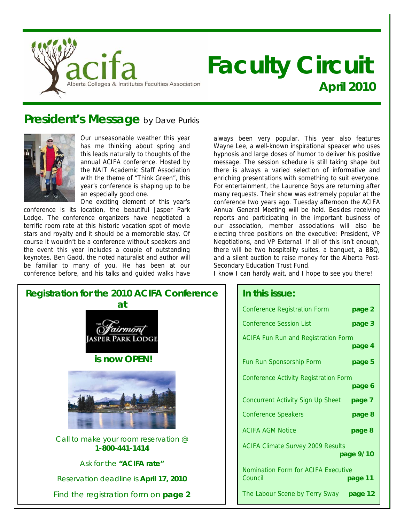

# **Faculty Circuit April 2010**

### **President's Message** by Dave Purkis



Our unseasonable weather this year has me thinking about spring and this leads naturally to thoughts of the annual ACIFA conference. Hosted by the NAIT Academic Staff Association with the theme of "Think Green", this year's conference is shaping up to be an especially good one.

One exciting element of this year's conference is its location, the beautiful Jasper Park Lodge. The conference organizers have negotiated a terrific room rate at this historic vacation spot of movie stars and royalty and it should be a memorable stay. Of course it wouldn't be a conference without speakers and the event this year includes a couple of outstanding keynotes. Ben Gadd, the noted naturalist and author will be familiar to many of you. He has been at our conference before, and his talks and guided walks have

always been very popular. This year also features Wayne Lee, a well-known inspirational speaker who uses hypnosis and large doses of humor to deliver his positive message. The session schedule is still taking shape but there is always a varied selection of informative and enriching presentations with something to suit everyone. For entertainment, the Laurence Boys are returning after many requests. Their show was extremely popular at the conference two years ago. Tuesday afternoon the ACIFA Annual General Meeting will be held. Besides receiving reports and participating in the important business of our association, member associations will also be electing three positions on the executive: President, VP Negotiations, and VP External. If all of this isn't enough, there will be two hospitality suites, a banquet, a BBQ, and a silent auction to raise money for the Alberta Post-Secondary Education Trust Fund.

I know I can hardly wait, and I hope to see you there!



| In this issue:                                 |           |
|------------------------------------------------|-----------|
| <b>Conference Registration Form</b>            | page 2    |
| <b>Conference Session List</b>                 | page 3    |
| <b>ACIFA Fun Run and Registration Form</b>     | page 4    |
| Fun Run Sponsorship Form                       | page 5    |
| <b>Conference Activity Registration Form</b>   | page 6    |
| Concurrent Activity Sign Up Sheet              | page 7    |
| <b>Conference Speakers</b>                     | page 8    |
| <b>ACIFA AGM Notice</b>                        | page 8    |
| <b>ACIFA Climate Survey 2009 Results</b>       | page 9/10 |
| Nomination Form for ACIFA Executive<br>Council | page 11   |
| The Labour Scene by Terry Sway                 | page 12   |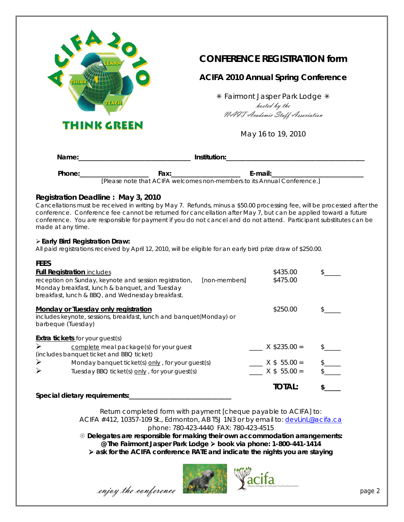

### **CONFERENCE REGISTRATION form**

### **ACIFA 2010 Annual Spring Conference**

\* Fairmont Jasper Park Lodge \* hosted by the NAIT Academic Staff Association

May 16 to 19, 2010

| Name:  |                  | Institution: |        |  |
|--------|------------------|--------------|--------|--|
| Phone: | ғах <sup>.</sup> |              | E-mail |  |

[Please note that ACIFA welcomes non-members to its Annual Conference.]

#### **Registration Deadline : May 3, 2010**

Cancellations must be received in writing by May 7. Refunds, minus a \$50.00 processing fee, will be processed after the conference. Conference fee cannot be returned for cancellation after May 7, but can be applied toward a future conference. You are responsible for payment if you do not cancel and do not attend. Participant substitutes can be made at any time.

#### **Early Bird Registration Draw:**

All paid registrations received by April 12, 2010, will be eligible for an early bird prize draw of \$250.00.

| <b>FEES</b>           |                                                                                                                                                                               |                |  |
|-----------------------|-------------------------------------------------------------------------------------------------------------------------------------------------------------------------------|----------------|--|
|                       | <b>Full Registration includes</b>                                                                                                                                             | \$435.00       |  |
|                       | reception on Sunday, keynote and session registration,<br>[non-members]<br>Monday breakfast, lunch & banquet, and Tuesday<br>breakfast, lunch & BBQ, and Wednesday breakfast. | \$475.00       |  |
|                       | Monday or Tuesday only registration                                                                                                                                           | \$250.00       |  |
|                       | includes keynote, sessions, breakfast, lunch and banquet(Monday) or<br>barbeque (Tuesday)                                                                                     |                |  |
|                       | <b>Extra tickets</b> for your guest(s)                                                                                                                                        |                |  |
| $\blacktriangleright$ | complete meal package(s) for your guest                                                                                                                                       | $X$ \$235.00 = |  |
|                       | (includes banquet ticket and BBQ ticket)                                                                                                                                      |                |  |
| ➤                     | Monday banquet ticket(s) only, for your guest(s)                                                                                                                              | $X$ \$ 55.00 = |  |
| $\blacktriangleright$ | Tuesday BBQ ticket(s) only, for your guest(s)                                                                                                                                 | $X$ \$ 55.00 = |  |
|                       |                                                                                                                                                                               | <b>TOTAL:</b>  |  |
|                       | Special dietary requirements:                                                                                                                                                 |                |  |

Return completed form with payment [cheque payable to ACIFA] to: ACIFA #412, 10357-109 St., Edmonton, AB T5J 1N3 or by email to: devlinL@acifa.ca phone: 780-423-4440 FAX: 780-423-4515

 **Delegates are responsible for making their own accommodation arrangements: @ The Fairmont Jasper Park Lodge book via phone: 1-800-441-1414**   $\triangleright$  **ask for the ACIFA conference RATE and indicate the nights you are staying** 

 $\mathcal{L}$   $\mathcal{L}$   $\mathcal{L}$   $\mathcal{L}$   $\mathcal{L}$   $\mathcal{L}$   $\mathcal{L}$   $\mathcal{L}$   $\mathcal{L}$   $\mathcal{L}$   $\mathcal{L}$   $\mathcal{L}$   $\mathcal{L}$   $\mathcal{L}$   $\mathcal{L}$   $\mathcal{L}$   $\mathcal{L}$   $\mathcal{L}$   $\mathcal{L}$   $\mathcal{L}$   $\mathcal{L}$   $\mathcal{L}$   $\mathcal{L}$   $\mathcal{L}$   $\mathcal{$ 

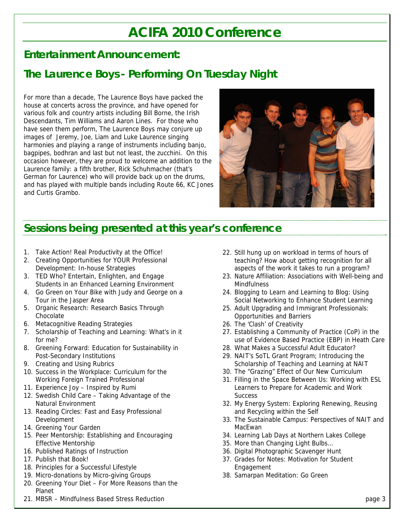# **ACIFA 2010 Conference**

### **Entertainment Announcement:**

### **The Laurence Boys - Performing On Tuesday Night**

For more than a decade, The Laurence Boys have packed the house at concerts across the province, and have opened for various folk and country artists including Bill Borne, the Irish Descendants, Tim Williams and Aaron Lines. For those who have seen them perform, The Laurence Boys may conjure up images of Jeremy, Joe, Liam and Luke Laurence singing harmonies and playing a range of instruments including banjo, bagpipes, bodhran and last but not least, the zucchini. On this occasion however, they are proud to welcome an addition to the Laurence family: a fifth brother, Rick Schuhmacher (that's German for Laurence) who will provide back up on the drums, and has played with multiple bands including Route 66, KC Jones and Curtis Grambo.



### **Sessions being presented at this year's conference**

- 1. Take Action! Real Productivity at the Office!
- 2. Creating Opportunities for YOUR Professional Development: In-house Strategies
- 3. TED Who? Entertain, Enlighten, and Engage Students in an Enhanced Learning Environment
- 4. Go Green on Your Bike with Judy and George on a Tour in the Jasper Area
- 5. Organic Research: Research Basics Through Chocolate
- 6. Metacognitive Reading Strategies
- 7. Scholarship of Teaching and Learning: What's in it for me?
- 8. Greening Forward: Education for Sustainability in Post-Secondary Institutions
- 9. Creating and Using Rubrics
- 10. Success in the Workplace: Curriculum for the Working Foreign Trained Professional
- 11. Experience Joy Inspired by Rumi
- 12. Swedish Child Care Taking Advantage of the Natural Environment
- 13. Reading Circles: Fast and Easy Professional Development
- 14. Greening Your Garden
- 15. Peer Mentorship: Establishing and Encouraging Effective Mentorship
- 16. Published Ratings of Instruction
- 17. Publish that Book!
- 18. Principles for a Successful Lifestyle
- 19. Micro-donations by Micro-giving Groups
- 20. Greening Your Diet For More Reasons than the Planet
- 21. MBSR Mindfulness Based Stress Reduction
- 22. Still hung up on workload in terms of hours of teaching? How about getting recognition for all aspects of the work it takes to run a program?
- 23. Nature Affiliation: Associations with Well-being and **Mindfulness**
- 24. Blogging to Learn and Learning to Blog: Using Social Networking to Enhance Student Learning
- 25. Adult Upgrading and Immigrant Professionals: Opportunities and Barriers
- 26. The 'Clash' of Creativity
- 27. Establishing a Community of Practice (CoP) in the use of Evidence Based Practice (EBP) in Heath Care
- 28. What Makes a Successful Adult Educator?
- 29. NAIT's SoTL Grant Program; Introducing the Scholarship of Teaching and Learning at NAIT
- 30. The "Grazing" Effect of Our New Curriculum
- 31. Filling in the Space Between Us: Working with ESL Learners to Prepare for Academic and Work **Success**
- 32. My Energy System: Exploring Renewing, Reusing and Recycling within the Self
- 33. The Sustainable Campus: Perspectives of NAIT and MacEwan
- 34. Learning Lab Days at Northern Lakes College
- 35. More than Changing Light Bulbs…
- 36. Digital Photographic Scavenger Hunt
- 37. Grades for Notes: Motivation for Student Engagement
- 38. Samarpan Meditation: Go Green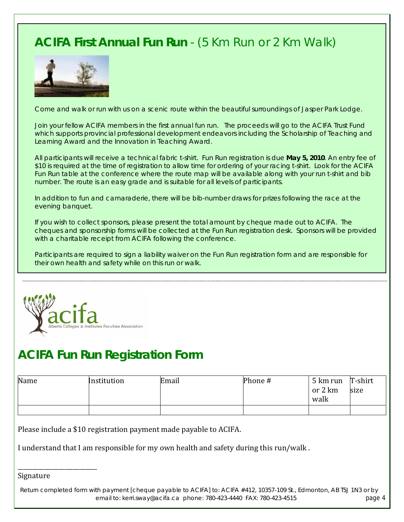# **ACIFA First Annual Fun Run** - (5 Km Run or 2 Km Walk)



Come and walk or run with us on a scenic route within the beautiful surroundings of Jasper Park Lodge.

Join your fellow ACIFA members in the first annual fun run. The proceeds will go to the ACIFA Trust Fund which supports provincial professional development endeavors including the Scholarship of Teaching and Learning Award and the Innovation in Teaching Award.

All participants will receive a technical fabric t-shirt. Fun Run registration is due **May 5, 2010**. An entry fee of \$10 is required at the time of registration to allow time for ordering of your racing t-shirt. Look for the ACIFA Fun Run table at the conference where the route map will be available along with your run t-shirt and bib number. The route is an easy grade and is suitable for all levels of participants.

In addition to fun and camaraderie, there will be bib-number draws for prizes following the race at the evening banquet.

If you wish to collect sponsors, please present the total amount by cheque made out to ACIFA. The cheques and sponsorship forms will be collected at the Fun Run registration desk. Sponsors will be provided with a charitable receipt from ACIFA following the conference.

Participants are required to sign a liability waiver on the Fun Run registration form and are responsible for their own health and safety while on this run or walk.



## **ACIFA Fun Run Registration Form**

| Name | Institution | Email | Phone # | 5 km run T-shirt<br>or 2 km<br>walk | size |
|------|-------------|-------|---------|-------------------------------------|------|
|      |             |       |         |                                     |      |

Please include a \$10 registration payment made payable to ACIFA.

I understand that I am responsible for my own health and safety during this run/walk .

Signature

\_\_\_\_\_\_\_\_\_\_\_\_\_\_\_\_\_\_\_\_\_\_\_\_\_\_\_

 Return completed form with payment [cheque payable to ACIFA] to: ACIFA #412, 10357-109 St., Edmonton, AB T5J 1N3 or by email to: kerri.sway@acifa.ca phone: 780-423-4440 FAX: 780-423-4515 page 4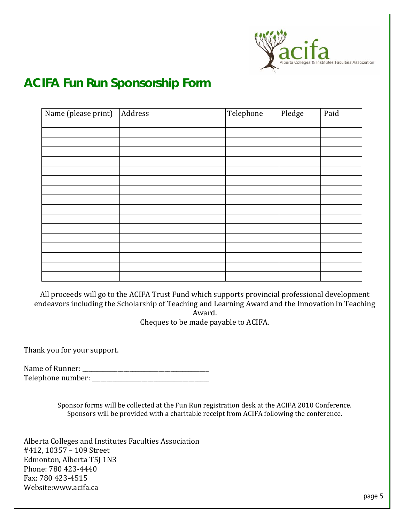

# **ACIFA Fun Run Sponsorship Form**

| Name (please print) | Address | Telephone | Pledge | Paid |
|---------------------|---------|-----------|--------|------|
|                     |         |           |        |      |
|                     |         |           |        |      |
|                     |         |           |        |      |
|                     |         |           |        |      |
|                     |         |           |        |      |
|                     |         |           |        |      |
|                     |         |           |        |      |
|                     |         |           |        |      |
|                     |         |           |        |      |
|                     |         |           |        |      |
|                     |         |           |        |      |
|                     |         |           |        |      |
|                     |         |           |        |      |
|                     |         |           |        |      |
|                     |         |           |        |      |
|                     |         |           |        |      |
|                     |         |           |        |      |

All proceeds will go to the ACIFA Trust Fund which supports provincial professional development endeavors including the Scholarship of Teaching and Learning Award and the Innovation in Teaching Award.

Cheques to be made payable to ACIFA.

Thank you for your support.

ame of Runner: \_\_\_\_\_\_\_\_\_\_\_\_\_\_\_\_\_\_\_\_\_\_\_\_\_\_\_\_\_\_\_\_\_\_\_\_\_\_\_\_\_\_\_ N elephone number: \_\_\_\_\_\_\_\_\_\_\_\_\_\_\_\_\_\_\_\_\_\_\_\_\_\_\_\_\_\_\_\_\_\_\_\_\_\_\_\_ T

> Sponsor forms will be collected at the Fun Run registration desk at the ACIFA 2010 Conference. Sponsors will be provided with a charitable receipt from ACIFA following the conference.

Alberta Colleges and Institutes Faculties Association #412, 10357 - 109 Street Edmonton, Alberta T5J 1N3 Phone: 780 423‐4440 Fax: 780 423‐4515 Website:www.acifa.ca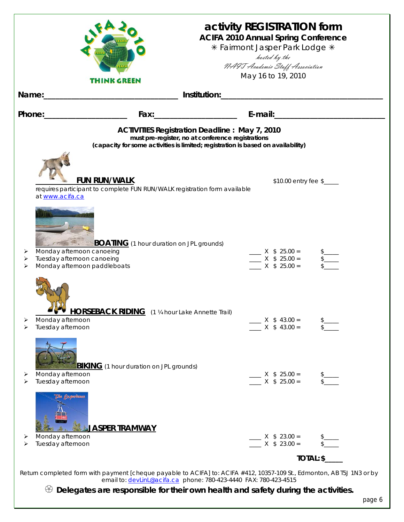|             |                                                                                                                                                                                               | activity REGISTRATION form<br><b>ACIFA 2010 Annual Spring Conference</b><br>* Fairmont Jasper Park Lodge * |
|-------------|-----------------------------------------------------------------------------------------------------------------------------------------------------------------------------------------------|------------------------------------------------------------------------------------------------------------|
|             |                                                                                                                                                                                               | hosted by the<br>NAIT Academic Staff Association                                                           |
|             | <b>THINK GREEN</b>                                                                                                                                                                            | May 16 to 19, 2010                                                                                         |
|             |                                                                                                                                                                                               |                                                                                                            |
|             |                                                                                                                                                                                               |                                                                                                            |
|             | <b>ACTIVITIES Registration Deadline: May 7, 2010</b><br>must pre-register, no at conference registrations<br>(capacity for some activities is limited; registration is based on availability) |                                                                                                            |
|             | <b>FUN RUN/WALK</b><br>requires participant to complete FUN RUN/WALK registration form available<br>at www.acifa.ca                                                                           | \$10.00 entry fee \$                                                                                       |
| ➤<br>⋗<br>⋗ | <b>BOATING</b> (1 hour duration on JPL grounds)<br>Monday afternoon canoeing<br>Tuesday afternoon canoeing<br>Monday afternoon paddleboats                                                    | $X \$ 25.00 =$<br>$X$ \$ 25.00 =<br>$X$ \$ 25.00 =                                                         |
| ➤<br>➤      | <b>HORSEBACK RIDING</b> (1 1/4 hour Lake Annette Trail)<br>Monday afternoon<br>Tuesday afternoon                                                                                              | $X$ \$ 43.00 =<br>$X$ \$ 43.00 =                                                                           |
| ➤<br>⋗      | <b>BIKING</b> (1 hour duration on JPL grounds)<br>Monday afternoon<br>Tuesday afternoon                                                                                                       | $X$ \$ 25.00 =<br>$X$ \$ 25.00 =                                                                           |
| ➤<br>➤      | The <b>Firewitnes</b><br><b>JASPER TRAMWAY</b><br>Monday afternoon<br>Tuesday afternoon                                                                                                       | $X$ \$ 23.00 =<br>$X$ \$ 23.00 =                                                                           |
|             | Return completed form with payment [cheque payable to ACIFA] to: ACIFA #412, 10357-109 St., Edmonton, AB T5J 1N3 or by                                                                        | TOTAL: \$                                                                                                  |
|             | email to: devlinl@acifa.ca phone: 780-423-4440 FAX: 780-423-4515                                                                                                                              |                                                                                                            |
|             | $\otimes$ Delegates are responsible for their own health and safety during the activities.                                                                                                    |                                                                                                            |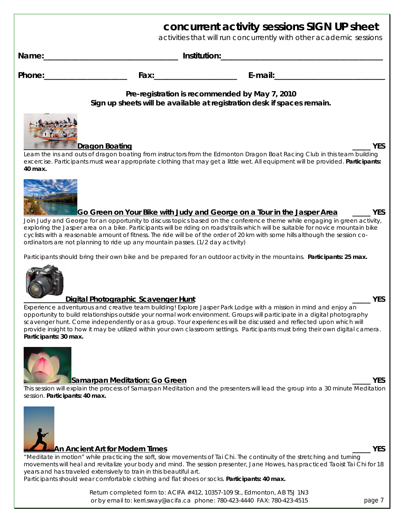|                                                                                                                                                                                                                                                                                                                                                                                                                                                                                                                                                                        | concurrent activity sessions SIGN UP sheet<br>activities that will run concurrently with other academic sessions |
|------------------------------------------------------------------------------------------------------------------------------------------------------------------------------------------------------------------------------------------------------------------------------------------------------------------------------------------------------------------------------------------------------------------------------------------------------------------------------------------------------------------------------------------------------------------------|------------------------------------------------------------------------------------------------------------------|
| Name: 2008. 2009. [1] Alame: 2008. [2] Anstitution: 2008. [2] Alame: 2008. [2] Alame: 2008. [2] Alame: 2008. [2] Alame: 2008. [2] Alame: 2008. [2] Alame: 2008. [2] Alame: 2008. [2] Alame: 2008. [2] Alame: 2008. [2] Alame:                                                                                                                                                                                                                                                                                                                                          |                                                                                                                  |
| Phone: The Contract of the Contract of the Contract of the Contract of the Contract of the Contract of the Contract of the Contract of the Contract of the Contract of the Contract of the Contract of the Contract of the Con                                                                                                                                                                                                                                                                                                                                         |                                                                                                                  |
| Pre-registration is recommended by May 7, 2010<br>Sign up sheets will be available at registration desk if spaces remain.                                                                                                                                                                                                                                                                                                                                                                                                                                              |                                                                                                                  |
| Dragon Boating<br>Learn the ins and outs of dragon boating from instructors from the Edmonton Dragon Boat Racing Club in this team building<br>excercise. Participants must wear appropriate clothing that may get a little wet. All equipment will be provided. Participants:<br>40 max.                                                                                                                                                                                                                                                                              | <b>YES</b>                                                                                                       |
| <u>Go Green on Your Bike with Judy and George on a Tour in the Jasper Area</u><br>Join Judy and George for an opportunity to discuss topics based on the conference theme while engaging in green activity,<br>exploring the Jasper area on a bike. Participants will be riding on roads/trails which will be suitable for novice mountain bike<br>cyclists with a reasonable amount of fitness. The ride will be of the order of 20 km with some hills although the session co-<br>ordinators are not planning to ride up any mountain passes. (1/2 day activity)     | <b>YES</b>                                                                                                       |
| Participants should bring their own bike and be prepared for an outdoor activity in the mountains. Participants: 25 max.                                                                                                                                                                                                                                                                                                                                                                                                                                               |                                                                                                                  |
| Digital Photographic Scavenger Hunt<br>Experience adventurous and creative team building! Explore Jasper Park Lodge with a mission in mind and enjoy an<br>opportunity to build relationships outside your normal work environment. Groups will participate in a digital photography<br>scavenger hunt. Come independently or as a group. Your experiences will be discussed and reflected upon which will<br>provide insight to how it may be utilized within your own classroom settings. Participants must bring their own digital camera.<br>Participants: 30 max. | <b>YES</b>                                                                                                       |
| <b>Samarpan Meditation: Go Green</b><br>This session will explain the process of Samarpan Meditation and the presenters will lead the group into a 30 minute Meditation<br>session. Participants: 40 max.                                                                                                                                                                                                                                                                                                                                                              | <b>YES</b>                                                                                                       |
| An Ancient Art for Modern Times<br>"Meditate in motion" while practicing the soft, slow movements of Tai Chi. The continuity of the stretching and turning<br>movements will heal and revitalize your body and mind. The session presenter, Jane Howes, has practiced Taoist Tai Chi for 18<br>years and has traveled extensively to train in this beautiful art.<br>Participants should wear comfortable clothing and flat shoes or socks. Participants: 40 max.                                                                                                      | <b>YES</b>                                                                                                       |

Return completed form to: ACIFA #412, 10357-109 St., Edmonton, AB T5J 1N3 or by email to: kerri.sway@acifa.ca phone: 780-423-4440 FAX: 780-423-4515 page 7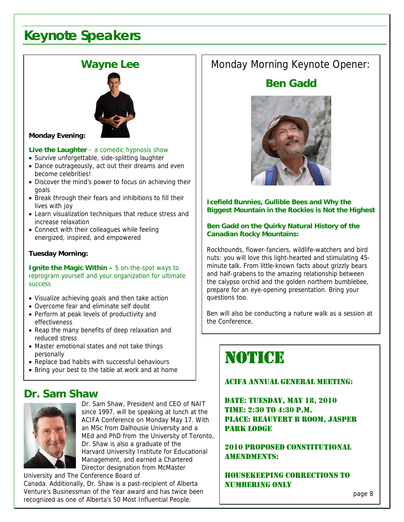# **Keynote Speakers**

### **Wayne Lee**



#### **Monday Evening:**

#### **Live the Laughter** – a comedic hypnosis show

- Survive unforgettable, side-splitting laughter
- Dance outrageously, act out their dreams and even become celebrities!
- Discover the mind's power to focus on achieving their goals
- Break through their fears and inhibitions to fill their lives with joy
- Learn visualization techniques that reduce stress and increase relaxation
- Connect with their colleagues while feeling energized, inspired, and empowered

#### **Tuesday Morning:**

**Ignite the Magic Within –** 5 on-the-spot ways to reprogram yourself and your organization for ultimate success

- Visualize achieving goals and then take action
- Overcome fear and eliminate self doubt
- Perform at peak levels of productivity and effectiveness
- Reap the many benefits of deep relaxation and reduced stress
- Master emotional states and not take things personally
- Replace bad habits with successful behaviours
- Bring your best to the table at work and at home

### **Dr. Sam Shaw**



Dr. Sam Shaw, President and CEO of NAIT since 1997, will be speaking at lunch at the ACIFA Conference on Monday May 17. With an MSc from Dalhousie University and a MEd and PhD from the University of Toronto, Dr. Shaw is also a graduate of the Harvard University Institute for Educational Management, and earned a Chartered Director designation from McMaster

University and The Conference Board of Canada. Additionally, Dr. Shaw is a past-recipient of Alberta Venture's Businessman of the Year award and has twice been recognized as one of Alberta's 50 Most Influential People.

### Monday Morning Keynote Opener:

### **Ben Gadd**



#### **Icefield Bunnies, Gullible Bees and Why the Biggest Mountain in the Rockies is Not the Highest**

#### **Ben Gadd on the Quirky Natural History of the Canadian Rocky Mountains:**

Rockhounds, flower-fanciers, wildlife-watchers and bird nuts: you will love this light-hearted and stimulating 45 minute talk. From little-known facts about grizzly bears and half-grabens to the amazing relationship between the calypso orchid and the golden northern bumblebee, prepare for an eye-opening presentation. Bring your questions too.

Ben will also be conducting a nature walk as a session at the Conference.

# NOTICE

### ACIFA ANNUAL GENERAL MEETING:

DATE: TUESDAY, MAY 18, 2010 TIME: 2:30 TO 4:30 P.M. PLACE: BEAUVERT B ROOM, JASPER PARK LODGE

2010 PROPOSED CONSTITUTIONAL AMENDMENTS:

HOUSEKEEPING CORRECTIONS TO NUMBERING ONLY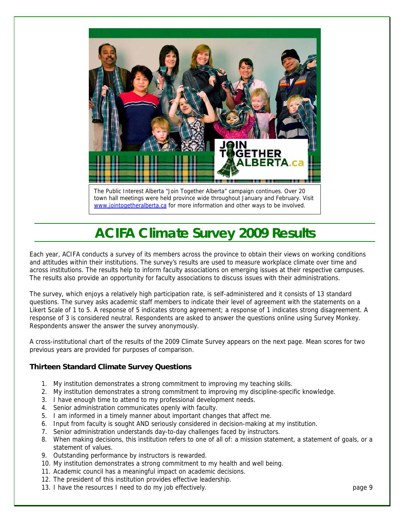

town hall meetings were held province wide throughout January and February. Visit [www.jointogetheralberta.ca](http://www.jointogetheralberta.ca/) for more information and other ways to be involved.

# **ACIFA Climate Survey 2009 Results**

Each year, ACIFA conducts a survey of its members across the province to obtain their views on working conditions and attitudes within their institutions. The survey's results are used to measure workplace climate over time and across institutions. The results help to inform faculty associations on emerging issues at their respective campuses. The results also provide an opportunity for faculty associations to discuss issues with their administrations.

The survey, which enjoys a relatively high participation rate, is self-administered and it consists of 13 standard questions. The survey asks academic staff members to indicate their level of agreement with the statements on a Likert Scale of 1 to 5. A response of 5 indicates strong agreement; a response of 1 indicates strong disagreement. A response of 3 is considered neutral. Respondents are asked to answer the questions online using Survey Monkey. Respondents answer the answer the survey anonymously.

A cross-institutional chart of the results of the 2009 Climate Survey appears on the next page. Mean scores for two previous years are provided for purposes of comparison.

#### **Thirteen Standard Climate Survey Questions**

- 1. My institution demonstrates a strong commitment to improving my teaching skills.
- 2. My institution demonstrates a strong commitment to improving my discipline-specific knowledge.
- 3. I have enough time to attend to my professional development needs.
- 4. Senior administration communicates openly with faculty.
- 5. I am informed in a timely manner about important changes that affect me.
- 6. Input from faculty is sought AND seriously considered in decision-making at my institution.
- 7. Senior administration understands day-to-day challenges faced by instructors.
- 8. When making decisions, this institution refers to one of all of: a mission statement, a statement of goals, or a statement of values.
- 9. Outstanding performance by instructors is rewarded.
- 10. My institution demonstrates a strong commitment to my health and well being.
- 11. Academic council has a meaningful impact on academic decisions.
- 12. The president of this institution provides effective leadership.
- 13. I have the resources I need to do my job effectively. page 9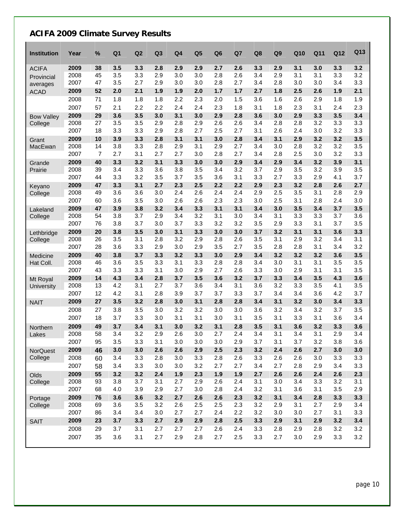### **ACIFA 2009 Climate Survey Results**

 $\mathbf{r}$ 

| <b>Institution</b>     | Year         | %        | Q <sub>1</sub> | Q2         | Q <sub>3</sub> | Q <sub>4</sub> | Q <sub>5</sub> | Q <sub>6</sub> | Q7         | Q8         | Q <sub>9</sub> | Q10        | Q11        | Q12        | Q13        |
|------------------------|--------------|----------|----------------|------------|----------------|----------------|----------------|----------------|------------|------------|----------------|------------|------------|------------|------------|
| <b>ACIFA</b>           | 2009         | 38       | 3.5            | 3.3        | 2.8            | 2.9            | 2.9            | 2.7            | 2.6        | 3.3        | 2.9            | 3.1        | 3.0        | 3.3        | 3.2        |
| Provincial             | 2008         | 45       | 3.5            | 3.3        | 2.9            | 3.0            | 3.0            | 2.8            | 2.6        | 3.4        | 2.9            | 3.1        | 3.1        | 3.3        | 3.2        |
| averages               | 2007         | 47       | 3.5            | 2.7        | 2.9            | 3.0            | 3.0            | 2.8            | 2.7        | 3.4        | 2.8            | 3.0        | 3.0        | 3.4        | 3.3        |
| <b>ACAD</b>            | 2009         | 52       | 2.0            | 2.1        | 1.9            | 1.9            | 2.0            | 1.7            | $1.7$      | 2.7        | 1.8            | 2.5        | 2.6        | 1.9        | 2.1        |
|                        | 2008         | 71       | 1.8            | 1.8        | 1.8            | 2.2            | 2.3            | 2.0            | 1.5        | 3.6        | 1.6            | 2.6        | 2.9        | 1.8        | 1.9        |
|                        | 2007         | 57       | 2.1            | 2.2        | 2.2            | 2.4            | 2.4            | 2.3            | 1.8        | 3.1        | 1.8            | 2.3        | 3.1        | 2.4        | 2.3        |
| <b>Bow Valley</b>      | 2009         | 29       | 3.6            | 3.5        | 3.0            | 3.1            | 3.0            | 2.9            | 2.8        | 3.6        | 3.0            | 2.9        | 3.3        | 3.5        | 3.4        |
| College                | 2008         | 27       | 3.5            | 3.5        | 2.9            | 2.8            | 2.9            | 2.6            | 2.6        | 3.4        | 2.8            | 2.8        | 3.2        | 3.3        | 3.3        |
|                        | 2007         | 18       | 3.3            | 3.3        | 2.9            | 2.8            | 2.7            | 2.5            | 2.7        | 3.1        | 2.6            | 2.4        | 3.0        | 3.2        | 3.3        |
| Grant                  | 2009         | 10       | 3.9            | 3.3        | 2.8            | 3.1            | 3.1            | 3.0            | 2.8        | 3.4        | 3.1            | 2.9        | 3.2        | 3.2        | 3.5        |
| MacEwan                | 2008         | 14       | 3.8            | 3.3        | 2.8            | 2.9            | 3.1            | 2.9            | 2.7        | 3.4        | 3.0            | 2.8        | 3.2        | 3.2        | 3.5        |
|                        | 2007         | 7        | 2.7            | 3.1        | 2.7            | 2.7            | 3.0            | 2.8            | 2.7        | 3.4        | 2.8            | 2.5        | 3.0        | 3.2        | 3.3        |
| Grande                 | 2009         | 40       | 3.3            | 3.2        | 3.1            | 3.3            | 3.0            | 3.0            | 2.9        | 3.4        | 2.9            | 3.4        | 3.2        | 3.9        | 3.1        |
| Prairie                | 2008         | 39       | 3.4            | 3.3        | 3.6            | 3.8            | 3.5            | 3.4            | 3.2        | 3.7        | 2.9            | 3.5        | 3.2        | 3.9        | 3.5        |
|                        | 2007         | 44       | 3.3            | 3.2        | 3.5            | 3.7            | 3.5            | 3.6            | 3.1        | 3.3        | 2.7            | 3.3        | 2.9        | 4.1        | 3.7        |
| Keyano                 | 2009         | 47       | 3.3            | 3.1        | 2.7            | 2.3            | 2.5            | 2.2            | 2.2        | 2.9        | 2.3            | 3.2        | 2.8        | 2.6        | 2.7        |
| College                | 2008         | 49       | 3.6            | 3.6        | 3.0            | 2.4            | 2.6            | 2.4            | 2.4        | 2.9        | 2.5            | 3.5        | 3.1        | 2.8        | 2.9        |
|                        | 2007         | 60       | 3.6            | 3.5        | 3.0            | 2.6            | 2.6            | 2.3            | 2.3        | 3.0        | 2.5            | 3.1        | 2.8        | 2.4        | 3.0        |
| Lakeland               | 2009         | 47       | 3.9            | 3.8        | 3.2            | 3.4            | 3.3            | 3.1            | 3.1        | 3.4        | 3.0            | 3.5        | 3.4        | 3.7        | 3.5        |
| College                | 2008         | 54       | 3.8            | 3.7        | 2.9            | 3.4            | 3.2            | 3.1            | 3.0        | 3.4        | 3.1            | 3.3        | 3.3        | 3.7        | 3.6        |
|                        | 2007         | 76       | 3.8            | 3.7        | 3.0            | 3.7            | 3.3            | 3.2            | 3.2        | 3.5        | 2.9            | 3.3        | 3.1        | 3.7        | 3.5        |
| Lethbridge             | 2009         | 20       | 3.8            | 3.5        | 3.0            | 3.1            | 3.3            | 3.0            | 3.0        | 3.7        | 3.2            | 3.1        | 3.1        | 3.6        | 3.3        |
| College                | 2008         | 26       | 3.5            | 3.1        | 2.8            | 3.2            | 2.9            | 2.8            | 2.6        | 3.5        | 3.1            | 2.9        | 3.2        | 3.4        | 3.1        |
|                        | 2007         | 28       | 3.6            | 3.3        | 2.9            | 3.0            | 2.9            | 3.5            | 2.7        | 3.5        | 2.8            | 2.8        | 3.1        | 3.4        | 3.2        |
| Medicine               | 2009<br>2008 | 40<br>46 | 3.8<br>3.6     | 3.7<br>3.5 | 3.3<br>3.3     | 3.2<br>3.1     | 3.3<br>3.3     | 3.0<br>2.8     | 2.9<br>2.8 | 3.4<br>3.4 | 3.2<br>3.0     | 3.2<br>3.1 | 3.2<br>3.1 | 3.6<br>3.5 | 3.5<br>3.5 |
| Hat Coll.              | 2007         | 43       | 3.3            | 3.3        | 3.1            | 3.0            | 2.9            | 2.7            | 2.6        | 3.3        | 3.0            | 2.9        | 3.1        | 3.1        | 3.5        |
|                        | 2009         | 14       | 4.3            | 3.4        | 2.8            | 3.7            | 3.5            | 3.6            | 3.2        | 3.7        | 3.3            | 3.4        | 3.5        | 4.3        | 3.6        |
| Mt Royal<br>University | 2008         | 13       | 4.2            | 3.1        | 2.7            | 3.7            | 3.6            | 3.4            | 3.1        | 3.6        | 3.2            | 3.3        | 3.5        | 4.1        | 3.5        |
|                        | 2007         | 12       | 4.2            | 3.1        | 2.8            | 3.9            | 3.7            | 3.7            | 3.3        | 3.7        | 3.4            | 3.4        | 3.6        | 4.2        | 3.7        |
| <b>NAIT</b>            | 2009         | 27       | 3.5            | 3.2        | 2.8            | 3.0            | 3.1            | 2.8            | 2.8        | 3.4        | 3.1            | 3.2        | 3.0        | 3.4        | 3.3        |
|                        | 2008         | 27       | 3.8            | 3.5        | 3.0            | 3.2            | 3.2            | 3.0            | 3.0        | 3.6        | 3.2            | 3.4        | 3.2        | 3.7        | 3.5        |
|                        | 2007         | 18       | 3.7            | 3.3        | 3.0            | 3.1            | 3.1            | 3.0            | 3.1        | 3.5        | 3.1            | 3.3        | 3.1        | 3.6        | 3.4        |
|                        | 2009         | 49       | 3.7            | 3.4        | 3.1            | 3.0            | 3.2            | 3.1            | 2.8        | 3.5        | 3.1            | 3.6        | 3.2        | 3.3        | 3.6        |
| Northern<br>Lakes      | 2008         | 58       | 3.4            | 3.2        | 2.9            | 2.6            | 3.0            | 2.7            | 2.4        | 3.4        | 3.1            | 3.4        | 3.1        | 2.9        | 3.4        |
|                        | 2007         | 95       | 3.5            | 3.3        | 3.1            | 3.0            | 3.0            | 3.0            | 2.9        | 3.7        | 3.1            | 3.7        | 3.2        | 3.8        | 3.6        |
| <b>NorQuest</b>        | 2009         | 46       | 3.0            | 3.0        | 2.6            | 2.6            | 2.9            | 2.5            | 2.3        | 3.2        | 2.4            | 2.6        | 2.7        | 3.0        | 3.0        |
| College                | 2008         | 60       | 3.4            | 3.3        | 2.8            | 3.0            | 3.3            | 2.8            | 2.6        | 3.3        | 2.6            | 2.6        | 3.0        | 3.3        | 3.3        |
|                        | 2007         | 58       | 3.4            | 3.3        | 3.0            | 3.0            | 3.2            | 2.7            | 2.7        | 3.4        | 2.7            | 2.8        | 2.9        | 3.4        | 3.3        |
| Olds                   | 2009         | 55       | 3.2            | 3.2        | 2.4            | 1.9            | 2.3            | 1.9            | 1.9        | 2.7        | 2.6            | 2.6        | 2.4        | 2.6        | 2.3        |
| College                | 2008         | 93       | 3.8            | 3.7        | 3.1            | 2.7            | 2.9            | 2.6            | 2.4        | 3.1        | 3.0            | 3.4        | 3.3        | 3.2        | 3.1        |
|                        | 2007         | 68       | 4.0            | 3.9        | 2.9            | 2.7            | 3.0            | 2.8            | 2.4        | 3.2        | 3.1            | 3.6        | 3.1        | 3.5        | 2.9        |
| Portage                | 2009         | 76       | 3.6            | 3.6        | 3.2            | 2.7            | 2.6            | 2.6            | 2.3        | 3.2        | 3.1            | 3.4        | 2.8        | 3.3        | 3.3        |
| College                | 2008         | 69       | 3.6            | 3.5        | 3.2            | 2.6            | 2.5            | 2.5            | 2.3        | 3.2        | 2.9            | 3.1        | 2.7        | 2.9        | 3.4        |
|                        | 2007         | 86       | 3.4            | 3.4        | 3.0            | 2.7            | 2.7            | 2.4            | 2.2        | 3.2        | 3.0            | 3.0        | 2.7        | 3.1        | 3.3        |
| <b>SAIT</b>            | 2009         | 23       | 3.7            | 3.3        | 2.7            | 2.9            | 2.9            | 2.8            | 2.5        | 3.3        | 2.9            | 3.1        | 2.9        | 3.2        | 3.4        |
|                        | 2008         | 29       | 3.7            | 3.1        | 2.7            | 2.7            | 2.7            | 2.6            | 2.4        | 3.3        | 2.8            | 2.9        | 2.8        | 3.2        | 3.2        |
|                        | 2007         | 35       | 3.6            | 3.1        | 2.7            | 2.9            | 2.8            | 2.7            | 2.5        | 3.3        | 2.7            | 3.0        | 2.9        | 3.3        | 3.2        |
|                        |              |          |                |            |                |                |                |                |            |            |                |            |            |            |            |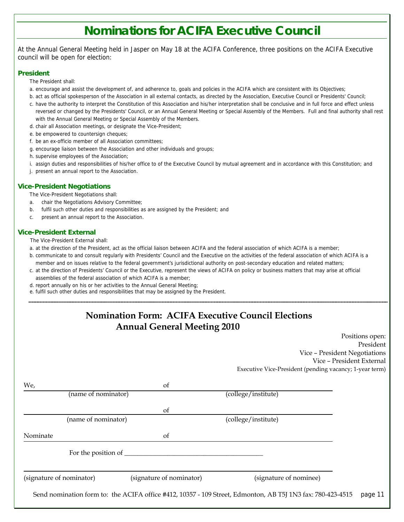## **Nominations for ACIFA Executive Council**

At the Annual General Meeting held in Jasper on May 18 at the ACIFA Conference, three positions on the ACIFA Executive council will be open for election:

#### **President**

The President shall:

- a. encourage and assist the development of, and adherence to, goals and policies in the ACIFA which are consistent with its Objectives;
- b. act as official spokesperson of the Association in all external contacts, as directed by the Association, Executive Council or Presidents' Council;
- c. have the authority to interpret the Constitution of this Association and his/her interpretation shall be conclusive and in full force and effect unless reversed or changed by the Presidents' Council, or an Annual General Meeting or Special Assembly of the Members. Full and final authority shall rest with the Annual General Meeting or Special Assembly of the Members.
- d. chair all Association meetings, or designate the Vice-President;
- e. be empowered to countersign cheques;
- f. be an ex-officio member of all Association committees;
- g. encourage liaison between the Association and other individuals and groups;
- h. supervise employees of the Association;
- i. assign duties and responsibilities of his/her office to of the Executive Council by mutual agreement and in accordance with this Constitution; and
- j. present an annual report to the Association.

#### **Vice-President Negotiations**

The Vice-President Negotiations shall:

- a. chair the Negotiations Advisory Committee;
- b. fulfil such other duties and responsibilities as are assigned by the President; and
- c. present an annual report to the Association.

#### **Vice-President External**

The Vice-President External shall:

- a. at the direction of the President, act as the official liaison between ACIFA and the federal association of which ACIFA is a member;
- b. communicate to and consult regularly with Presidents' Council and the Executive on the activities of the federal association of which ACIFA is a member and on issues relative to the federal government's jurisdictional authority on post-secondary education and related matters;
- c. at the direction of Presidents' Council or the Executive, represent the views of ACIFA on policy or business matters that may arise at official assemblies of the federal association of which ACIFA is a member;
- d. report annually on his or her activities to the Annual General Meeting;
- e. fulfil such other duties and responsibilities that may be assigned by the President.

### **Nomination Form: ACIFA Executive Council Elections Annual General Meeting 2010**

Positions open: President Vice – President Negotiations Vice – President External Executive Vice-President (pending vacancy; 1-year term)

| We,                                          | of                       |                        |
|----------------------------------------------|--------------------------|------------------------|
| (name of nominator)                          |                          | (college/institute)    |
|                                              |                          |                        |
| (name of nominator)                          | of                       | (college/institute)    |
| Nominate                                     | of                       |                        |
| For the position of $\overline{\phantom{a}}$ |                          |                        |
|                                              |                          |                        |
|                                              | (signature of nominator) | (signature of nominee) |